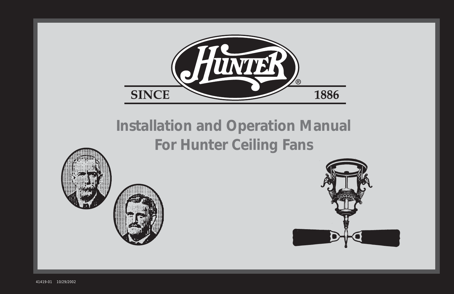

1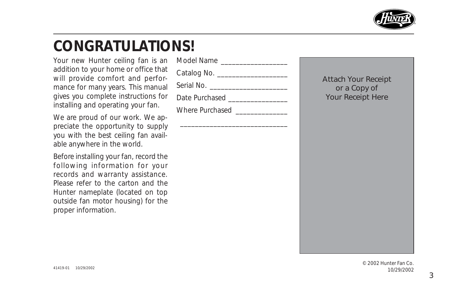

## **CONGRATULATIONS!**

Your new Hunter ceiling fan is an addition to your home or office that will provide comfort and performance for many years. This manual gives you complete instructions for installing and operating your fan.

We are proud of our work. We appreciate the opportunity to supply you with the best ceiling fan available anywhere in the world.

Before installing your fan, record the following information for your records and warranty assistance. Please refer to the carton and the Hunter nameplate (located on top outside fan motor housing) for the proper information.

| Model Name |  |
|------------|--|
|            |  |

\_\_\_\_\_\_\_\_\_\_\_\_\_\_\_\_\_\_\_\_\_\_\_\_\_\_\_\_\_

Catalog No. \_\_\_\_\_\_\_\_\_\_\_\_\_\_\_\_\_\_\_

Serial No.

Date Purchased **Exercises** 

Where Purchased

Attach Your Receipt or a Copy of Your Receipt Here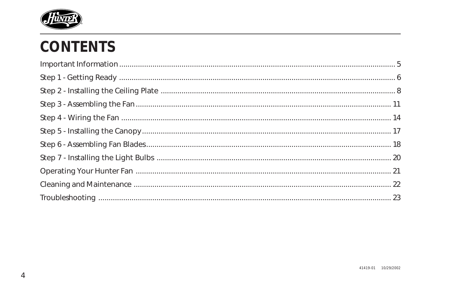

# **CONTENTS**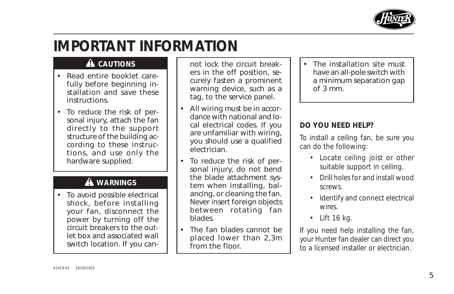

# **IMPORTANT INFORMATION**

### **A** CAUTIONS

- Read entire booklet carefully before beginning installation and save these instructions.
- To reduce the risk of personal injury, attach the fan directly to the support structure of the building according to these instructions, and use only the hardware supplied.

### **WARNINGS**

• To avoid possible electrical shock, before installing your fan, disconnect the power by turning off the circuit breakers to the outlet box and associated wall switch location. If you can-

not lock the circuit breakers in the off position, securely fasten a prominent warning device, such as a tag, to the service panel.

- All wiring must be in accordance with national and local electrical codes. If you are unfamiliar with wiring, you should use a qualified electrician.
- To reduce the risk of personal injury, do not bend the blade attachment system when installing, balancing, or cleaning the fan. Never insert foreign objects between rotating fan blades.
- The fan blades cannot be placed lower than 2,3m from the floor.

• The installation site must have an all-pole switch with a minimum separation gap of 3 mm.

### **DO YOU NEED HELP?**

To install a ceiling fan, be sure you can do the following:

- Locate ceiling joist or other suitable support in ceiling.
- Drill holes for and install wood screws.
- Identify and connect electrical wires.
- Lift 16 kg.

If you need help installing the fan, your Hunter fan dealer can direct you to a licensed installer or electrician.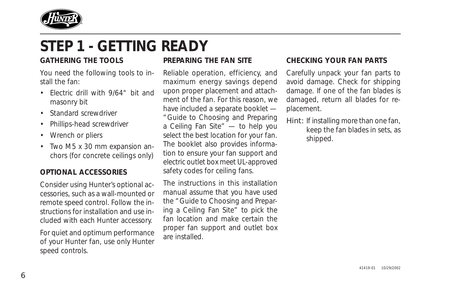

# **STEP 1 - GETTING READY**

#### **GATHERING THE TOOLS**

You need the following tools to install the fan:

- Electric drill with 9/64" bit and masonry bit
- Standard screwdriver
- Phillips-head screwdriver
- Wrench or pliers
- Two M5 x 30 mm expansion anchors (for concrete ceilings only)

#### **OPTIONAL ACCESSORIES**

Consider using Hunter's optional accessories, such as a wall-mounted or remote speed control. Follow the instructions for installation and use included with each Hunter accessory.

For quiet and optimum performance of your Hunter fan, use only Hunter speed controls.

#### **PREPARING THE FAN SITE**

Reliable operation, efficiency, and maximum energy savings depend upon proper placement and attachment of the fan. For this reason, we have included a separate booklet — "Guide to Choosing and Preparing a Ceiling Fan Site" — to help you select the best location for your fan. The booklet also provides information to ensure your fan support and electric outlet box meet UL-approved safety codes for ceiling fans.

The instructions in this installation manual assume that you have used the "Guide to Choosing and Preparing a Ceiling Fan Site" to pick the fan location and make certain the proper fan support and outlet box are installed.

#### **CHECKING YOUR FAN PARTS**

Carefully unpack your fan parts to avoid damage. Check for shipping damage. If one of the fan blades is damaged, return all blades for replacement.

Hint: If installing more than one fan, keep the fan blades in sets, as shipped.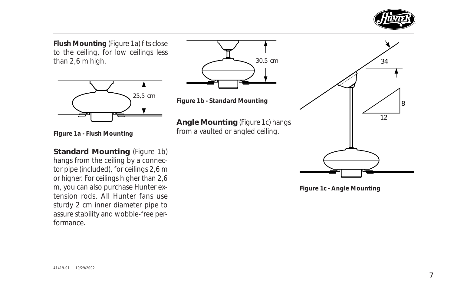

**Flush Mounting** (Figure 1a) fits close to the ceiling, for low ceilings less than 2,6 m high.



**Figure 1a - Flush Mounting**

**Standard Mounting** (Figure 1b) hangs from the ceiling by a connector pipe (included), for ceilings 2,6 m or higher. For ceilings higher than 2,6 m, you can also purchase Hunter extension rods. All Hunter fans use sturdy 2 cm inner diameter pipe to assure stability and wobble-free performance.





**Angle Mounting** (Figure 1c) hangs from a vaulted or angled ceiling.



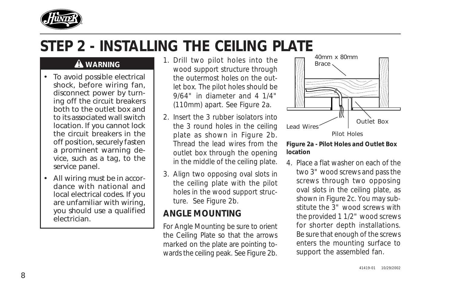

# **STEP 2 - INSTALLING THE CEILING PLATE**

### **WARNING**

- To avoid possible electrical shock, before wiring fan, disconnect power by turning off the circuit breakers both to the outlet box and to its associated wall switch location. If you cannot lock the circuit breakers in the off position, securely fasten a prominent warning device, such as a tag, to the service panel.
- All wiring must be in accordance with national and local electrical codes. If you are unfamiliar with wiring, you should use a qualified electrician.
- 1. Drill two pilot holes into the wood support structure through the outermost holes on the outlet box. The pilot holes should be 9/64" in diameter and 4 1/4" (110mm) apart. See Figure 2a.
- 2. Insert the 3 rubber isolators into the 3 round holes in the ceiling plate as shown in Figure 2b. Thread the lead wires from the outlet box through the opening in the middle of the ceiling plate.
- 3. Align two opposing oval slots in the ceiling plate with the pilot holes in the wood support structure. See Figure 2b.

## **ANGLE MOUNTING**

For Angle Mounting be sure to orient the Ceiling Plate so that the arrows marked on the plate are pointing towards the ceiling peak. See Figure 2b.



#### **Figure 2a - Pilot Holes and Outlet Box location**

4. Place a flat washer on each of the two 3" wood screws and pass the screws through two opposing oval slots in the ceiling plate, as shown in Figure 2c. You may substitute the 3" wood screws with the provided 1 1/2" wood screws for shorter depth installations. Be sure that enough of the screws enters the mounting surface to support the assembled fan.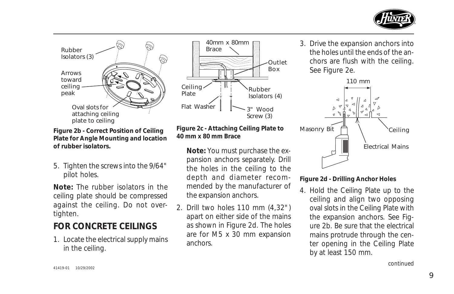



**Figure 2b - Correct Position of Ceiling Plate for Angle Mounting and location of rubber isolators.**

5. Tighten the screws into the 9/64" pilot holes.

**Note:** The rubber isolators in the ceiling plate should be compressed against the ceiling. Do not overtighten.

## **FOR CONCRETE CEILINGS**

1. Locate the electrical supply mains in the ceiling.

#### **Figure 2c - Attaching Ceiling Plate to 40 mm x 80 mm Brace**

Flat Washer  $\sim$  3" Wood

40mm x 80mm

Brace

Ceiling Plate

> **Note:** You must purchase the expansion anchors separately. Drill the holes in the ceiling to the depth and diameter recommended by the manufacturer of the expansion anchors.

Rubber Isolators (4)

Screw (3)

Outlet Box

2. Drill two holes 110 mm (4,32") apart on either side of the mains as shown in Figure 2d. The holes are for M5 x 30 mm expansion anchors.

3. Drive the expansion anchors into the holes until the ends of the anchors are flush with the ceiling. See Figure 2e.



#### **Figure 2d - Drilling Anchor Holes**

4. Hold the Ceiling Plate up to the ceiling and align two opposing oval slots in the Ceiling Plate with the expansion anchors. See Figure 2b. Be sure that the electrical mains protrude through the center opening in the Ceiling Plate by at least 150 mm.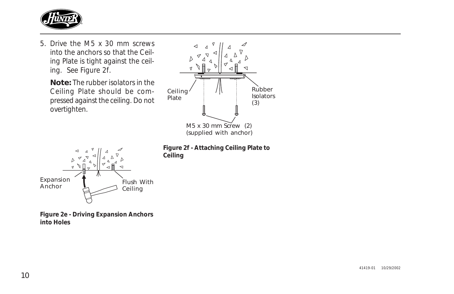

5. Drive the M5 x 30 mm screws into the anchors so that the Ceiling Plate is tight against the ceiling. See Figure 2f.

**Note:** The rubber isolators in the Ceiling Plate should be compressed against the ceiling. Do not overtighten.



**Figure 2f - Attaching Ceiling Plate to Ceiling**



**Figure 2e - Driving Expansion Anchors into Holes**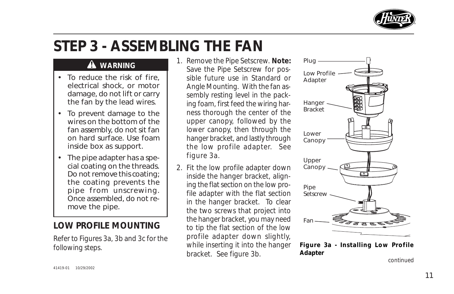

# **STEP 3 - ASSEMBLING THE FAN**

### **WARNING**

- To reduce the risk of fire, electrical shock, or motor damage, do not lift or carry the fan by the lead wires.
- To prevent damage to the wires on the bottom of the fan assembly, do not sit fan on hard surface. Use foam inside box as support.
- The pipe adapter has a special coating on the threads. Do not remove this coating; the coating prevents the pipe from unscrewing. Once assembled, do not remove the pipe.

### **LOW PROFILE MOUNTING**

Refer to Figures 3a, 3b and 3c for the following steps.

- 1. Remove the Pipe Setscrew. **Note:** Save the Pipe Setscrew for possible future use in Standard or Angle Mounting. With the fan assembly resting level in the packing foam, first feed the wiring harness thorough the center of the upper canopy, followed by the lower canopy, then through the hanger bracket, and lastly through the low profile adapter. See figure 3a.
- 2. Fit the low profile adapter down inside the hanger bracket, aligning the flat section on the low profile adapter with the flat section in the hanger bracket. To clear the two screws that project into the hanger bracket, you may need to tip the flat section of the low profile adapter down slightly, while inserting it into the hanger bracket. See figure 3b.



**Figure 3a - Installing Low Profile Adapter**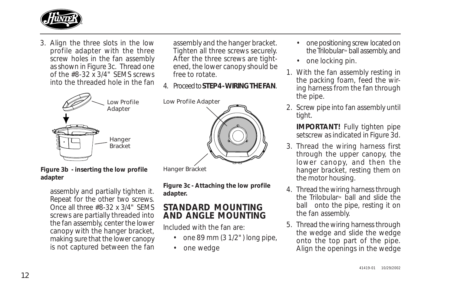

3. Align the three slots in the low profile adapter with the three screw holes in the fan assembly as shown in Figure 3c. Thread one of the #8-32 x 3/4" SEMS screws into the threaded hole in the fan



**Figure 3b - inserting the low profile adapter**

assembly and partially tighten it. Repeat for the other two screws. Once all three #8-32 x 3/4" SEMS screws are partially threaded into the fan assembly, center the lower canopy with the hanger bracket, making sure that the lower canopy is not captured between the fan

assembly and the hanger bracket. Tighten all three screws securely. After the three screws are tightened, the lower canopy should be free to rotate.

4. Proceed to **STEP 4 - WIRING THE FAN**.

Low Profile Adapter



Hanger Bracket

**Figure 3c - Attaching the low profile adapter.**

### **STANDARD MOUNTING AND ANGLE MOUNTING**

Included with the fan are:

- one 89 mm  $(3 1/2")$  long pipe,
- one wedge
- one positioning screw located on the Trilobular<sup>M</sup> ball assembly, and
- one locking pin.
- 1. With the fan assembly resting in the packing foam, feed the wiring harness from the fan through the pipe.
- 2. Screw pipe into fan assembly until tight.

**IMPORTANT!** Fully tighten pipe setscrew as indicated in Figure 3d.

- 3. Thread the wiring harness first through the upper canopy, the lower canopy, and then the hanger bracket, resting them on the motor housing.
- 4. Thread the wiring harness through the Trilobular<sup>M</sup> ball and slide the ball onto the pipe, resting it on the fan assembly.
- 5. Thread the wiring harness through the wedge and slide the wedge onto the top part of the pipe. Align the openings in the wedge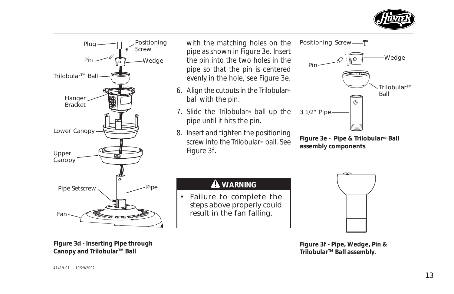



**Figure 3d - Inserting Pipe through** Canopy and Trilobular<sup>™</sup> Ball

#### **Figure 3f - Pipe, Wedge, Pin & Trilobular™ Ball assembly.**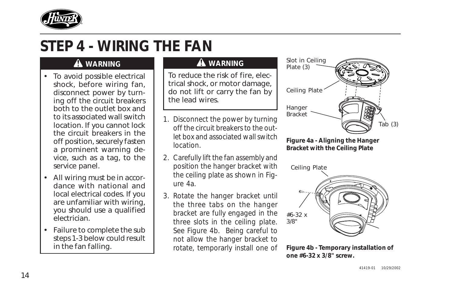

# **STEP 4 - WIRING THE FAN**

### **WARNING**

- To avoid possible electrical shock, before wiring fan, disconnect power by turning off the circuit breakers both to the outlet box and to its associated wall switch location. If you cannot lock the circuit breakers in the off position, securely fasten a prominent warning device, such as a tag, to the service panel.
- All wiring must be in accordance with national and local electrical codes. If you are unfamiliar with wiring, you should use a qualified electrician.
- Failure to complete the sub steps 1-3 below could result in the fan falling.

### **WARNING**

To reduce the risk of fire, electrical shock, or motor damage, do not lift or carry the fan by the lead wires.

- 1. Disconnect the power by turning off the circuit breakers to the outlet box and associated wall switch location.
- 2. Carefully lift the fan assembly and position the hanger bracket with the ceiling plate as shown in Figure 4a.
- 3. Rotate the hanger bracket until the three tabs on the hanger bracket are fully engaged in the three slots in the ceiling plate. See Figure 4b. Being careful to not allow the hanger bracket to rotate, temporarly install one of



**Figure 4a - Aligning the Hanger Bracket with the Ceiling Plate**

Ceiling Plate



**Figure 4b - Temporary installation of one #6-32 x 3/8" screw.**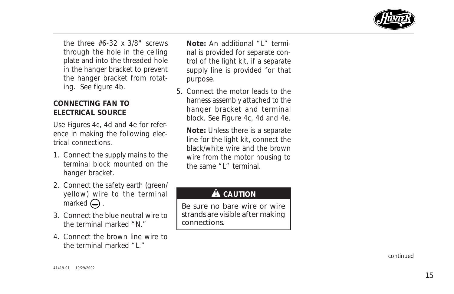

the three #6-32 x 3/8" screws through the hole in the ceiling plate and into the threaded hole in the hanger bracket to prevent the hanger bracket from rotating. See figure 4b.

#### **CONNECTING FAN TO ELECTRICAL SOURCE**

Use Figures 4c, 4d and 4e for reference in making the following electrical connections.

- 1. Connect the supply mains to the terminal block mounted on the hanger bracket.
- 2. Connect the safety earth (green/ yellow) wire to the terminal marked  $\bigoplus$ .
- 3. Connect the blue neutral wire to the terminal marked "N."
- 4. Connect the brown line wire to the terminal marked "L."

**Note:** An additional "L" terminal is provided for separate control of the light kit, if a separate supply line is provided for that purpose.

5. Connect the motor leads to the harness assembly attached to the hanger bracket and terminal block. See Figure 4c, 4d and 4e.

**Note:** Unless there is a separate line for the light kit, connect the black/white wire and the brown wire from the motor housing to the same "L" terminal.

### **A** CAUTION

Be sure no bare wire or wire strands are visible after making connections.

*continued*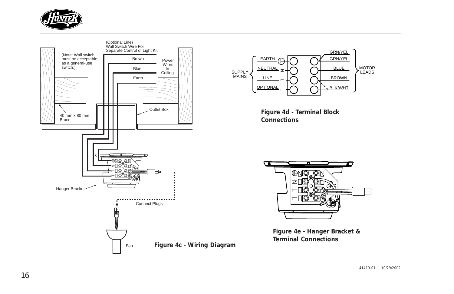

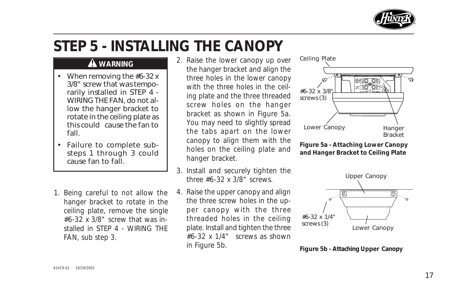

# **STEP 5 - INSTALLING THE CANOPY**

### **WARNING**

- When removing the #6-32 x 3/8" screw that was temporarily installed in STEP 4 - WIRING THE FAN, do not allow the hanger bracket to rotate in the ceiling plate as this could cause the fan to fall.
- Failure to complete substeps 1 through 3 could cause fan to fall.
- 1. Being careful to not allow the hanger bracket to rotate in the ceiling plate, remove the single #6-32 x 3/8" screw that was installed in STEP 4 - WIRING THE FAN, sub step 3.
- 2. Raise the lower canopy up over the hanger bracket and align the three holes in the lower canopy with the three holes in the ceiling plate and the three threaded screw holes on the hanger bracket as shown in Figure 5a. You may need to slightly spread the tabs apart on the lower canopy to align them with the holes on the ceiling plate and hanger bracket.
- 3. Install and securely tighten the three #6-32 x 3/8" screws.
- 4. Raise the upper canopy and align the three screw holes in the upper canopy with the three threaded holes in the ceiling plate. Install and tighten the three #6-32 x 1/4" screws as shown in Figure 5b.



**Figure 5a - Attaching Lower Canopy and Hanger Bracket to Ceiling Plate**



**Figure 5b - Attaching Upper Canopy**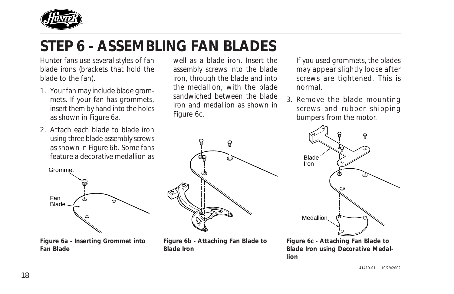

# **STEP 6 - ASSEMBLING FAN BLADES**

Hunter fans use several styles of fan blade irons (brackets that hold the blade to the fan).

- 1. Your fan may include blade grommets. If your fan has grommets, insert them by hand into the holes as shown in Figure 6a.
- 2. Attach each blade to blade iron using three blade assembly screws as shown in Figure 6b. Some fans feature a decorative medallion as



**Figure 6a - Inserting Grommet into Fan Blade**

well as a blade iron. Insert the assembly screws into the blade iron, through the blade and into the medallion, with the blade sandwiched between the blade iron and medallion as shown in Figure 6c.

If you used grommets, the blades may appear slightly loose after screws are tightened. This is normal.

3. Remove the blade mounting screws and rubber shipping bumpers from the motor.



**Figure 6b - Attaching Fan Blade to Blade Iron**



**Figure 6c - Attaching Fan Blade to Blade Iron using Decorative Medallion**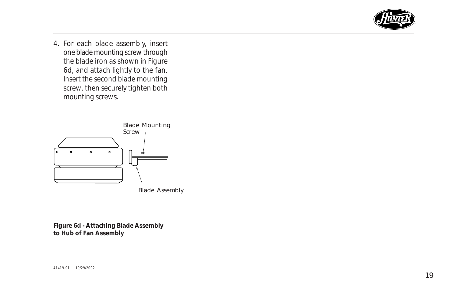

4. For each blade assembly, insert one blade mounting screw through the blade iron as shown in Figure 6d, and attach lightly to the fan. Insert the second blade mounting screw, then securely tighten both mounting screws.



Blade Assembly

**Figure 6d - Attaching Blade Assembly to Hub of Fan Assembly**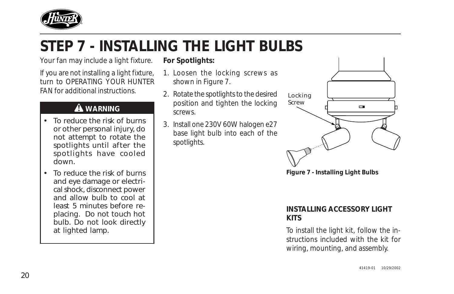

# **STEP 7 - INSTALLING THE LIGHT BULBS**

Your fan may include a light fixture.

If you are not installing a light fixture, turn to OPERATING YOUR HUNTER FAN for additional instructions.

### **WARNING**

- To reduce the risk of burns or other personal injury, do not attempt to rotate the spotlights until after the spotlights have cooled down.
- To reduce the risk of burns and eye damage or electrical shock, disconnect power and allow bulb to cool at least 5 minutes before replacing. Do not touch hot bulb. Do not look directly at lighted lamp.

#### **For Spotlights:**

- 1. Loosen the locking screws as shown in Figure 7.
- 2. Rotate the spotlights to the desired position and tighten the locking screws.
- 3. Install one 230V 60W halogen e27 base light bulb into each of the spotlights.



**Figure 7 - Installing Light Bulbs**

#### **INSTALLING ACCESSORY LIGHT KITS**

To install the light kit, follow the instructions included with the kit for wiring, mounting, and assembly.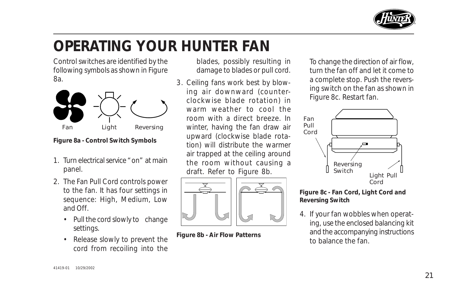

# **OPERATING YOUR HUNTER FAN**

Control switches are identified by the following symbols as shown in Figure 8a.



**Figure 8a - Control Switch Symbols**

- 1. Turn electrical service "on" at main panel.
- 2. The Fan Pull Cord controls power to the fan. It has four settings in sequence: High, Medium, Low and Off.
	- Pull the cord slowly to change settings.
	- Release slowly to prevent the cord from recoiling into the

blades, possibly resulting in damage to blades or pull cord.

3. Ceiling fans work best by blowing air downward (counterclockwise blade rotation) in warm weather to cool the room with a direct breeze. In winter, having the fan draw air upward (clockwise blade rotation) will distribute the warmer air trapped at the ceiling around the room without causing a draft. Refer to Figure 8b.



To change the direction of air flow, turn the fan off and let it come to a complete stop. Push the reversing switch on the fan as shown in Figure 8c. Restart fan.



#### **Figure 8c - Fan Cord, Light Cord and Reversing Switch**

4. If your fan wobbles when operating, use the enclosed balancing kit and the accompanying instructions **Figure 8b - Air Flow Patterns** and the accompanying region of the fan. **Figure 8b - Air Flow Patterns**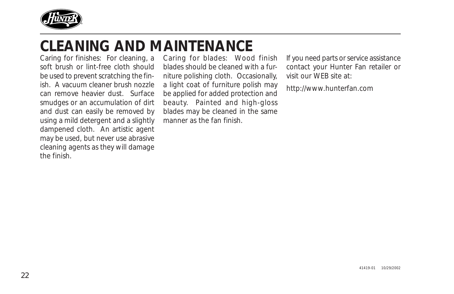

## **CLEANING AND MAINTENANCE**

Caring for finishes: For cleaning, a soft brush or lint-free cloth should be used to prevent scratching the finish. A vacuum cleaner brush nozzle can remove heavier dust. Surface smudges or an accumulation of dirt and dust can easily be removed by using a mild detergent and a slightly dampened cloth. An artistic agent may be used, but never use abrasive cleaning agents as they will damage the finish.

Caring for blades: Wood finish blades should be cleaned with a furniture polishing cloth. Occasionally, a light coat of furniture polish may be applied for added protection and beauty. Painted and high-gloss blades may be cleaned in the same manner as the fan finish.

If you need parts or service assistance contact your Hunter Fan retailer or visit our WEB site at:

http://www.hunterfan.com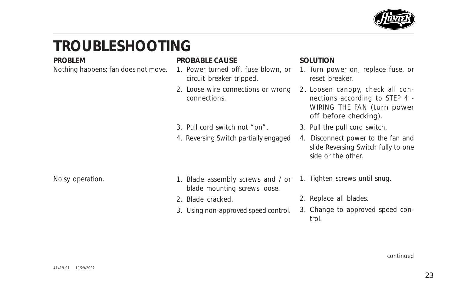

# **TROUBLESHOOTING**

Nothing happens; fan does not move.

#### **PROBLEM PROBABLE CAUSE SOLUTION**

- 1. Power turned off, fuse blown, or circuit breaker tripped.
- 2. Loose wire connections or wrong connections.

4. Reversing Switch partially engaged

3. Pull cord switch not "on".

- 1. Turn power on, replace fuse, or reset breaker.
- 2 . Loosen canopy, check all connections according to STEP 4 - WIRING THE FAN (turn power off before checking).
- 3. Pull the pull cord switch.
- 4. Disconnect power to the fan and slide Reversing Switch fully to one side or the other.

Noisy operation.

- 1. Blade assembly screws and / or blade mounting screws loose.
- 2. Blade cracked.
- 3. Using non-approved speed control.
- 1. Tighten screws until snug.
- 2. Replace all blades.
- 3. Change to approved speed control.

*continued*